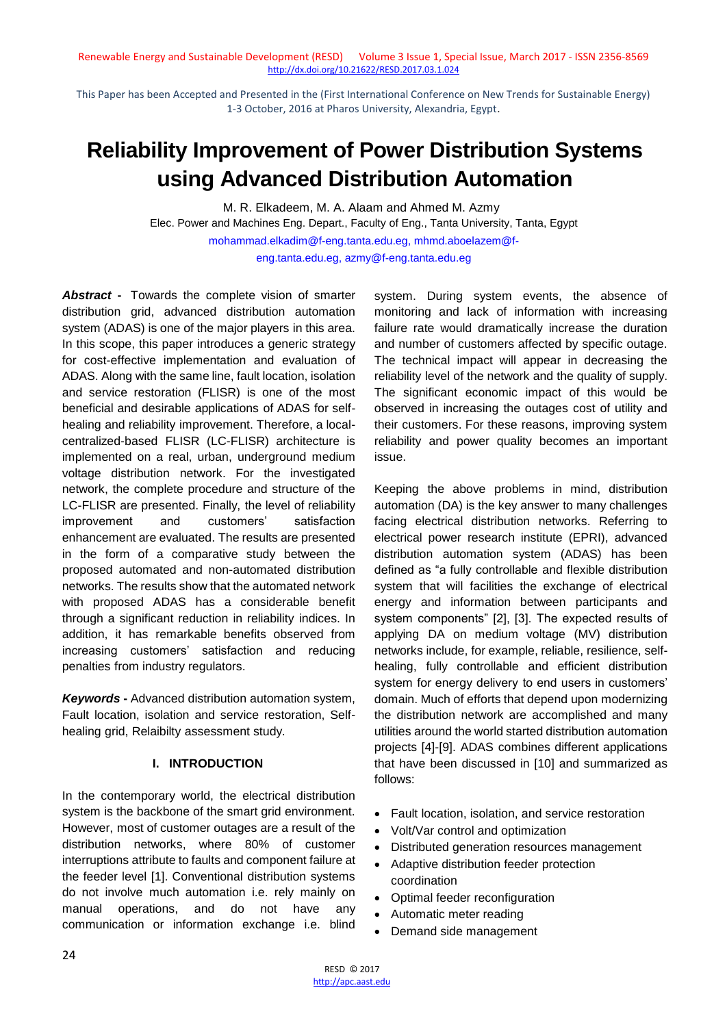This Paper has been Accepted and Presented in the (First International Conference on New Trends for Sustainable Energy) 1-3 October, 2016 at Pharos University, Alexandria, Egypt.

# **Reliability Improvement of Power Distribution Systems using Advanced Distribution Automation**

M. R. Elkadeem, M. A. Alaam and Ahmed M. Azmy Elec. Power and Machines Eng. Depart., Faculty of Eng., Tanta University, Tanta, Egypt mohammad.elkadim@f-eng.tanta.edu.eg, mhmd.aboelazem@feng.tanta.edu.eg, azmy@f-eng.tanta.edu.eg

*Abstract* **-** Towards the complete vision of smarter distribution grid, advanced distribution automation system (ADAS) is one of the major players in this area. In this scope, this paper introduces a generic strategy for cost-effective implementation and evaluation of ADAS. Along with the same line, fault location, isolation and service restoration (FLISR) is one of the most beneficial and desirable applications of ADAS for selfhealing and reliability improvement. Therefore, a localcentralized-based FLISR (LC-FLISR) architecture is implemented on a real, urban, underground medium voltage distribution network. For the investigated network, the complete procedure and structure of the LC-FLISR are presented. Finally, the level of reliability improvement and customers' satisfaction enhancement are evaluated. The results are presented in the form of a comparative study between the proposed automated and non-automated distribution networks. The results show that the automated network with proposed ADAS has a considerable benefit through a significant reduction in reliability indices. In addition, it has remarkable benefits observed from increasing customers' satisfaction and reducing penalties from industry regulators.

*Keywords* **-** Advanced distribution automation system, Fault location, isolation and service restoration, Selfhealing grid, Relaibilty assessment study.

# **I. INTRODUCTION**

In the contemporary world, the electrical distribution system is the backbone of the smart grid environment. However, most of customer outages are a result of the distribution networks, where 80% of customer interruptions attribute to faults and component failure at the feeder level [1]. Conventional distribution systems do not involve much automation i.e. rely mainly on manual operations, and do not have any communication or information exchange i.e. blind

system. During system events, the absence of monitoring and lack of information with increasing failure rate would dramatically increase the duration and number of customers affected by specific outage. The technical impact will appear in decreasing the reliability level of the network and the quality of supply. The significant economic impact of this would be observed in increasing the outages cost of utility and their customers. For these reasons, improving system reliability and power quality becomes an important issue.

Keeping the above problems in mind, distribution automation (DA) is the key answer to many challenges facing electrical distribution networks. Referring to electrical power research institute (EPRI), advanced distribution automation system (ADAS) has been defined as "a fully controllable and flexible distribution system that will facilities the exchange of electrical energy and information between participants and system components" [2], [3]. The expected results of applying DA on medium voltage (MV) distribution networks include, for example, reliable, resilience, selfhealing, fully controllable and efficient distribution system for energy delivery to end users in customers' domain. Much of efforts that depend upon modernizing the distribution network are accomplished and many utilities around the world started distribution automation projects [4]-[9]. ADAS combines different applications that have been discussed in [10] and summarized as follows:

- Fault location, isolation, and service restoration
- Volt/Var control and optimization
- Distributed generation resources management
- Adaptive distribution feeder protection coordination
- Optimal feeder reconfiguration
- Automatic meter reading
- Demand side management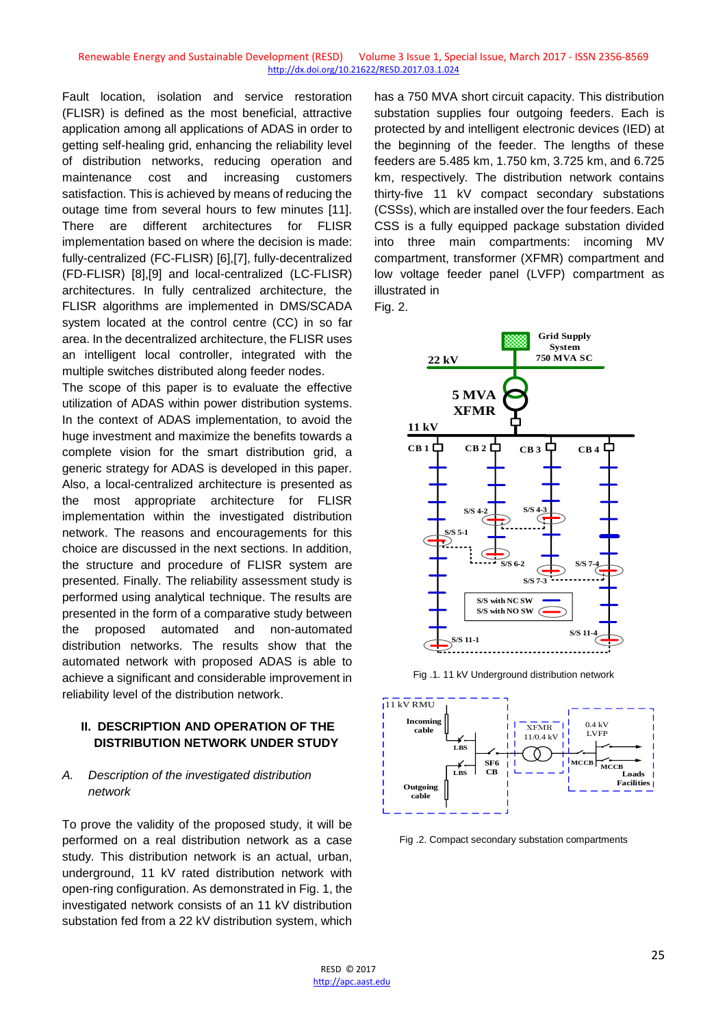Fault location, isolation and service restoration (FLISR) is defined as the most beneficial, attractive application among all applications of ADAS in order to getting self-healing grid, enhancing the reliability level of distribution networks, reducing operation and maintenance cost and increasing customers satisfaction. This is achieved by means of reducing the outage time from several hours to few minutes [11]. There are different architectures for FLISR implementation based on where the decision is made: fully-centralized (FC-FLISR) [6],[7], fully-decentralized (FD-FLISR) [8],[9] and local-centralized (LC-FLISR) architectures. In fully centralized architecture, the FLISR algorithms are implemented in DMS/SCADA system located at the control centre (CC) in so far area. In the decentralized architecture, the FLISR uses an intelligent local controller, integrated with the multiple switches distributed along feeder nodes.

The scope of this paper is to evaluate the effective utilization of ADAS within power distribution systems. In the context of ADAS implementation, to avoid the huge investment and maximize the benefits towards a complete vision for the smart distribution grid, a generic strategy for ADAS is developed in this paper. Also, a local-centralized architecture is presented as the most appropriate architecture for FLISR implementation within the investigated distribution network. The reasons and encouragements for this choice are discussed in the next sections. In addition, the structure and procedure of FLISR system are presented. Finally. The reliability assessment study is performed using analytical technique. The results are presented in the form of a comparative study between the proposed automated and non-automated distribution networks. The results show that the automated network with proposed ADAS is able to achieve a significant and considerable improvement in reliability level of the distribution network.

# **II. DESCRIPTION AND OPERATION OF THE DISTRIBUTION NETWORK UNDER STUDY**

## *A. Description of the investigated distribution network*

To prove the validity of the proposed study, it will be performed on a real distribution network as a case study. This distribution network is an actual, urban, underground, 11 kV rated distribution network with open-ring configuration. As demonstrated in Fig. 1, the investigated network consists of an 11 kV distribution substation fed from a 22 kV distribution system, which

has a 750 MVA short circuit capacity. This distribution substation supplies four outgoing feeders. Each is protected by and intelligent electronic devices (IED) at the beginning of the feeder. The lengths of these feeders are 5.485 km, 1.750 km, 3.725 km, and 6.725 km, respectively. The distribution network contains thirty-five 11 kV compact secondary substations (CSSs), which are installed over the four feeders. Each CSS is a fully equipped package substation divided into three main compartments: incoming MV compartment, transformer (XFMR) compartment and low voltage feeder panel (LVFP) compartment as illustrated in Fig. 2.



Fig .1. 11 kV Underground distribution network



Fig .2. Compact secondary substation compartments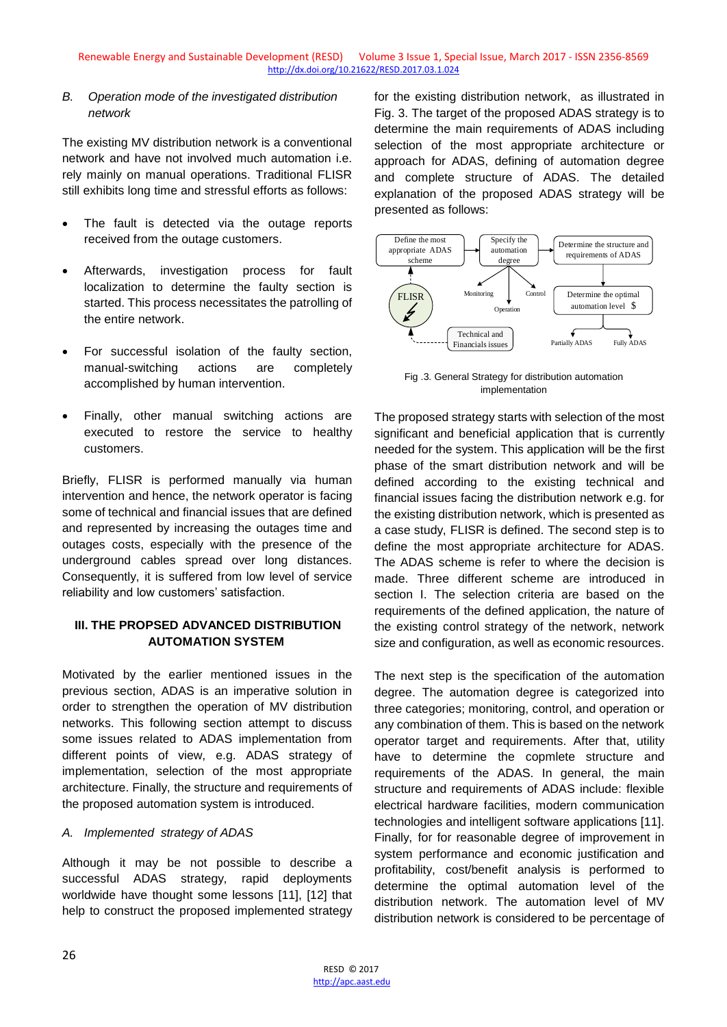## *B. Operation mode of the investigated distribution network*

The existing MV distribution network is a conventional network and have not involved much automation i.e. rely mainly on manual operations. Traditional FLISR still exhibits long time and stressful efforts as follows:

- The fault is detected via the outage reports received from the outage customers.
- Afterwards, investigation process for fault localization to determine the faulty section is started. This process necessitates the patrolling of the entire network.
- For successful isolation of the faulty section, manual-switching actions are completely accomplished by human intervention.
- Finally, other manual switching actions are executed to restore the service to healthy customers.

Briefly, FLISR is performed manually via human intervention and hence, the network operator is facing some of technical and financial issues that are defined and represented by increasing the outages time and outages costs, especially with the presence of the underground cables spread over long distances. Consequently, it is suffered from low level of service reliability and low customers' satisfaction.

# **III. THE PROPSED ADVANCED DISTRIBUTION AUTOMATION SYSTEM**

Motivated by the earlier mentioned issues in the previous section, ADAS is an imperative solution in order to strengthen the operation of MV distribution networks. This following section attempt to discuss some issues related to ADAS implementation from different points of view, e.g. ADAS strategy of implementation, selection of the most appropriate architecture. Finally, the structure and requirements of the proposed automation system is introduced.

# *A. Implemented strategy of ADAS*

Although it may be not possible to describe a successful ADAS strategy, rapid deployments worldwide have thought some lessons [11], [12] that help to construct the proposed implemented strategy

for the existing distribution network, as illustrated in Fig. 3. The target of the proposed ADAS strategy is to determine the main requirements of ADAS including selection of the most appropriate architecture or approach for ADAS, defining of automation degree and complete structure of ADAS. The detailed explanation of the proposed ADAS strategy will be presented as follows:



Fig .3. General Strategy for distribution automation implementation

The proposed strategy starts with selection of the most significant and beneficial application that is currently needed for the system. This application will be the first phase of the smart distribution network and will be defined according to the existing technical and financial issues facing the distribution network e.g. for the existing distribution network, which is presented as a case study, FLISR is defined. The second step is to define the most appropriate architecture for ADAS. The ADAS scheme is refer to where the decision is made. Three different scheme are introduced in section I. The selection criteria are based on the requirements of the defined application, the nature of the existing control strategy of the network, network size and configuration, as well as economic resources.

The next step is the specification of the automation degree. The automation degree is categorized into three categories; monitoring, control, and operation or any combination of them. This is based on the network operator target and requirements. After that, utility have to determine the copmlete structure and requirements of the ADAS. In general, the main structure and requirements of ADAS include: flexible electrical hardware facilities, modern communication technologies and intelligent software applications [11]. Finally, for for reasonable degree of improvement in system performance and economic justification and profitability, cost/benefit analysis is performed to determine the optimal automation level of the distribution network. The automation level of MV distribution network is considered to be percentage of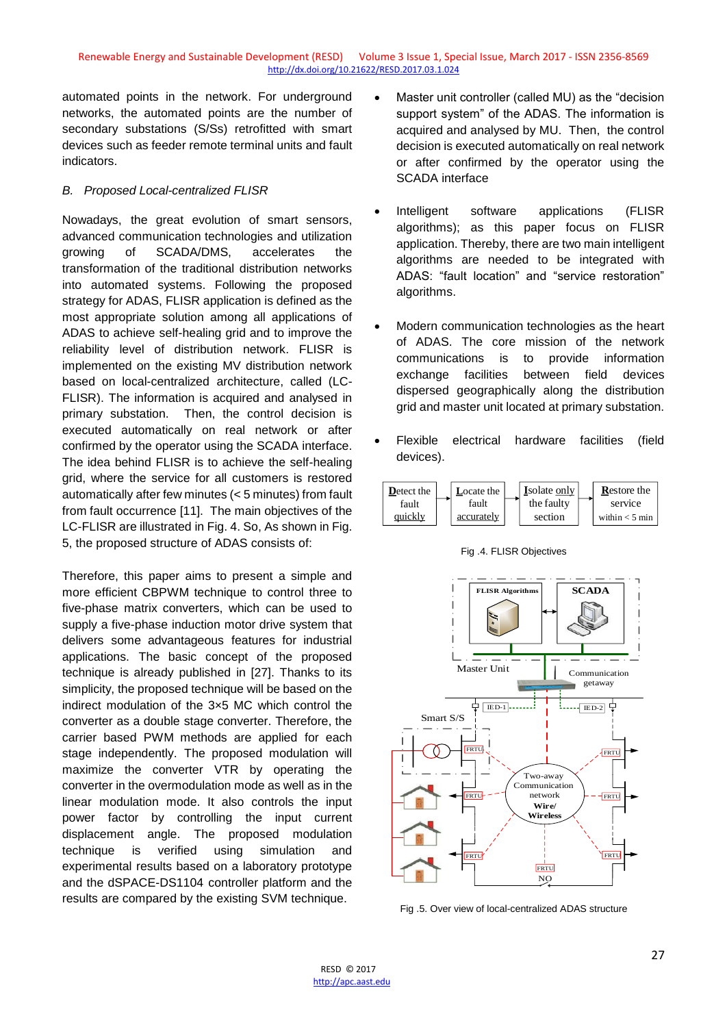automated points in the network. For underground networks, the automated points are the number of secondary substations (S/Ss) retrofitted with smart devices such as feeder remote terminal units and fault indicators.

### *B. Proposed Local-centralized FLISR*

Nowadays, the great evolution of smart sensors, advanced communication technologies and utilization growing of SCADA/DMS, accelerates the transformation of the traditional distribution networks into automated systems. Following the proposed strategy for ADAS, FLISR application is defined as the most appropriate solution among all applications of ADAS to achieve self-healing grid and to improve the reliability level of distribution network. FLISR is implemented on the existing MV distribution network based on local-centralized architecture, called (LC-FLISR). The information is acquired and analysed in primary substation. Then, the control decision is executed automatically on real network or after confirmed by the operator using the SCADA interface. The idea behind FLISR is to achieve the self-healing grid, where the service for all customers is restored automatically after few minutes (< 5 minutes) from fault from fault occurrence [11]. The main objectives of the LC-FLISR are illustrated in Fig. 4. So, As shown in Fig. 5, the proposed structure of ADAS consists of:

Therefore, this paper aims to present a simple and more efficient CBPWM technique to control three to five-phase matrix converters, which can be used to supply a five-phase induction motor drive system that delivers some advantageous features for industrial applications. The basic concept of the proposed technique is already published in [27]. Thanks to its simplicity, the proposed technique will be based on the indirect modulation of the 3×5 MC which control the converter as a double stage converter. Therefore, the carrier based PWM methods are applied for each stage independently. The proposed modulation will maximize the converter VTR by operating the converter in the overmodulation mode as well as in the linear modulation mode. It also controls the input power factor by controlling the input current displacement angle. The proposed modulation technique is verified using simulation and experimental results based on a laboratory prototype and the dSPACE-DS1104 controller platform and the results are compared by the existing SVM technique.

- Master unit controller (called MU) as the "decision support system" of the ADAS. The information is acquired and analysed by MU. Then, the control decision is executed automatically on real network or after confirmed by the operator using the SCADA interface
- Intelligent software applications (FLISR algorithms); as this paper focus on FLISR application. Thereby, there are two main intelligent algorithms are needed to be integrated with ADAS: "fault location" and "service restoration" algorithms.
- Modern communication technologies as the heart of ADAS. The core mission of the network communications is to provide information exchange facilities between field devices dispersed geographically along the distribution grid and master unit located at primary substation.
- Flexible electrical hardware facilities (field devices).



Fig .4. FLISR Objectives



Fig .5. Over view of local-centralized ADAS structure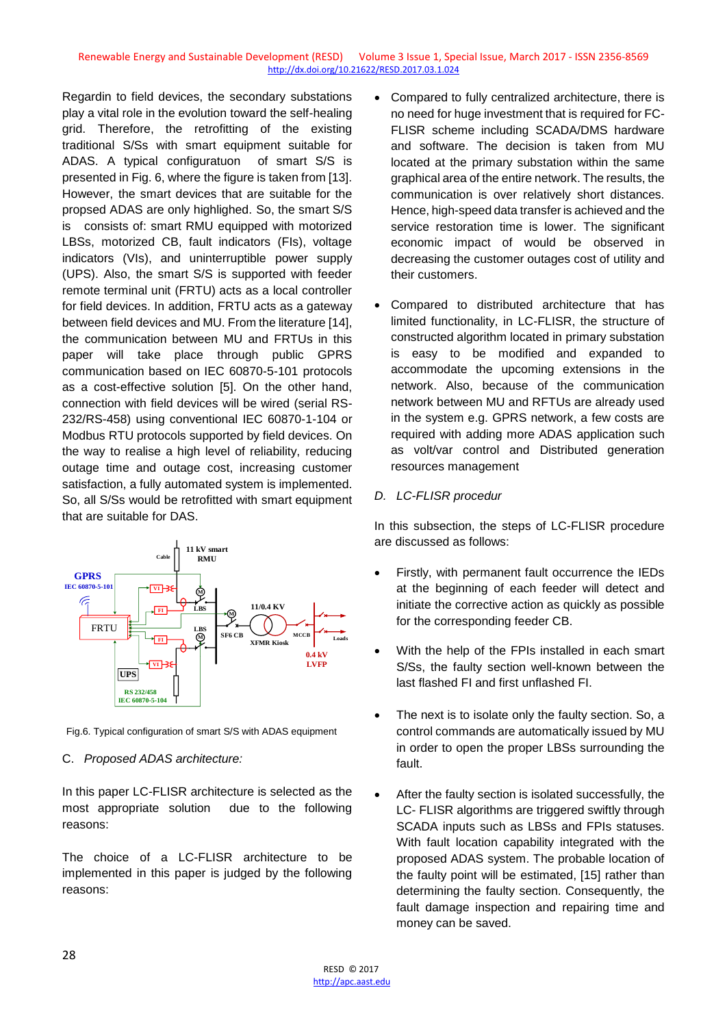Regardin to field devices, the secondary substations play a vital role in the evolution toward the self-healing grid. Therefore, the retrofitting of the existing traditional S/Ss with smart equipment suitable for ADAS. A typical configuratuon of smart S/S is presented in Fig. 6, where the figure is taken from [13]. However, the smart devices that are suitable for the propsed ADAS are only highlighed. So, the smart S/S is consists of: smart RMU equipped with motorized LBSs, motorized CB, fault indicators (FIs), voltage indicators (VIs), and uninterruptible power supply (UPS). Also, the smart S/S is supported with feeder remote terminal unit (FRTU) acts as a local controller for field devices. In addition, FRTU acts as a gateway between field devices and MU. From the literature [14], the communication between MU and FRTUs in this paper will take place through public GPRS communication based on IEC 60870-5-101 protocols as a cost-effective solution [5]. On the other hand, connection with field devices will be wired (serial RS-232/RS-458) using conventional IEC 60870-1-104 or Modbus RTU protocols supported by field devices. On the way to realise a high level of reliability, reducing outage time and outage cost, increasing customer satisfaction, a fully automated system is implemented. So, all S/Ss would be retrofitted with smart equipment that are suitable for DAS.



Fig.6. Typical configuration of smart S/S with ADAS equipment

#### C. *Proposed ADAS architecture:*

In this paper LC-FLISR architecture is selected as the most appropriate solution due to the following reasons:

The choice of a LC-FLISR architecture to be implemented in this paper is judged by the following reasons:

- Compared to fully centralized architecture, there is no need for huge investment that is required for FC-FLISR scheme including SCADA/DMS hardware and software. The decision is taken from MU located at the primary substation within the same graphical area of the entire network. The results, the communication is over relatively short distances. Hence, high-speed data transfer is achieved and the service restoration time is lower. The significant economic impact of would be observed in decreasing the customer outages cost of utility and their customers.
- Compared to distributed architecture that has limited functionality, in LC-FLISR, the structure of constructed algorithm located in primary substation is easy to be modified and expanded to accommodate the upcoming extensions in the network. Also, because of the communication network between MU and RFTUs are already used in the system e.g. GPRS network, a few costs are required with adding more ADAS application such as volt/var control and Distributed generation resources management

# *D. LC-FLISR procedur*

In this subsection, the steps of LC-FLISR procedure are discussed as follows:

- Firstly, with permanent fault occurrence the IEDs at the beginning of each feeder will detect and initiate the corrective action as quickly as possible for the corresponding feeder CB.
- With the help of the FPIs installed in each smart S/Ss, the faulty section well-known between the last flashed FI and first unflashed FI.
- The next is to isolate only the faulty section. So, a control commands are automatically issued by MU in order to open the proper LBSs surrounding the fault.
- After the faulty section is isolated successfully, the LC- FLISR algorithms are triggered swiftly through SCADA inputs such as LBSs and FPIs statuses. With fault location capability integrated with the proposed ADAS system. The probable location of the faulty point will be estimated, [15] rather than determining the faulty section. Consequently, the fault damage inspection and repairing time and money can be saved.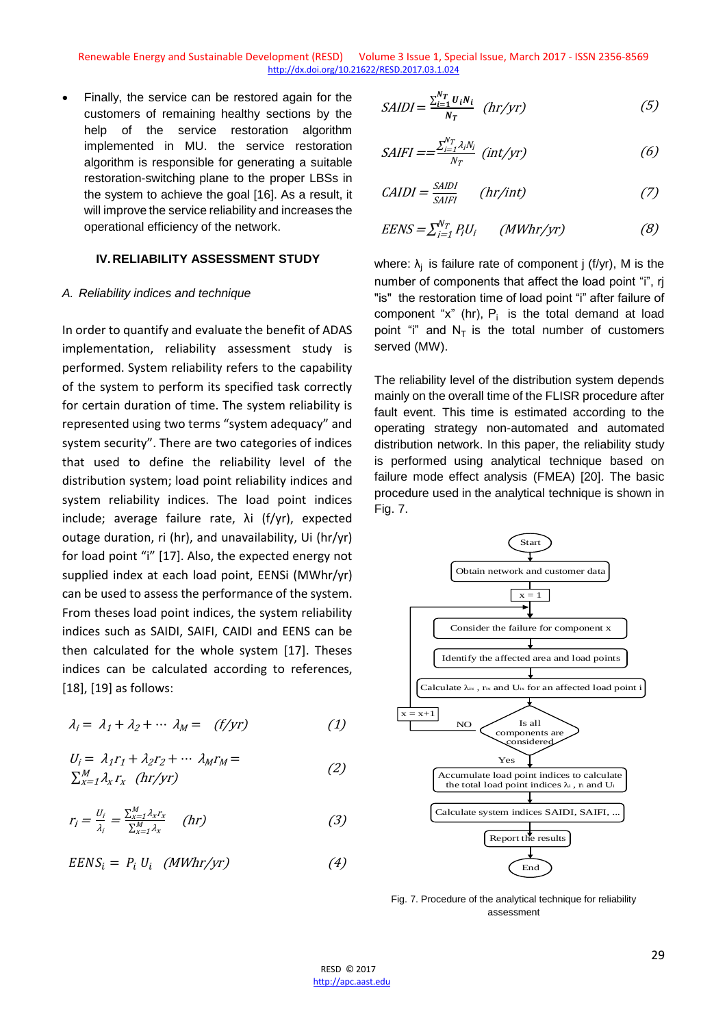Finally, the service can be restored again for the customers of remaining healthy sections by the help of the service restoration algorithm implemented in MU. the service restoration algorithm is responsible for generating a suitable restoration-switching plane to the proper LBSs in the system to achieve the goal [16]. As a result, it will improve the service reliability and increases the operational efficiency of the network.

#### **IV.RELIABILITY ASSESSMENT STUDY**

#### *A. Reliability indices and technique*

In order to quantify and evaluate the benefit of ADAS implementation, reliability assessment study is performed. System reliability refers to the capability of the system to perform its specified task correctly for certain duration of time. The system reliability is represented using two terms "system adequacy" and system security". There are two categories of indices that used to define the reliability level of the distribution system; load point reliability indices and system reliability indices. The load point indices include; average failure rate, λi (f/yr), expected outage duration, ri (hr), and unavailability, Ui (hr/yr) for load point "i" [17]. Also, the expected energy not supplied index at each load point, EENSi (MWhr/yr) can be used to assess the performance of the system. From theses load point indices, the system reliability indices such as SAIDI, SAIFI, CAIDI and EENS can be then calculated for the whole system [17]. Theses indices can be calculated according to references, [18], [19] as follows:

$$
\lambda_i = \lambda_1 + \lambda_2 + \cdots \lambda_M = (f/yr) \tag{1}
$$

$$
U_i = \lambda_1 r_1 + \lambda_2 r_2 + \cdots \lambda_M r_M =
$$
  
\n
$$
\sum_{x=1}^{M} \lambda_x r_x \quad (hr/yr)
$$
 (2)

$$
r_i = \frac{U_i}{\lambda_i} = \frac{\sum_{x=1}^{M} \lambda_x r_x}{\sum_{x=1}^{M} \lambda_x} \quad (hr)
$$
 (3)

$$
EENS_i = P_i U_i \quad (MWhr/yr) \tag{4}
$$

$$
SAIDI = \frac{\sum_{i=1}^{N_T} u_i N_i}{N_T} \quad (hr/yr) \tag{5}
$$

$$
SAIFI == \frac{\sum_{i=1}^{N_T} \lambda_i N_i}{N_T} (int/yr) \tag{6}
$$

$$
CAIDI = \frac{SAIDI}{SAIFI} \qquad (hr/int) \tag{7}
$$

$$
EENS = \sum_{i=1}^{N_T} P_i U_i \qquad (MWhr/yr) \tag{8}
$$

where:  $\lambda_j$  is failure rate of component j (f/yr), M is the number of components that affect the load point "i", rj "is" the restoration time of load point "i" after failure of component "x" (hr),  $P_i$  is the total demand at load point "i" and  $N<sub>T</sub>$  is the total number of customers served (MW).

The reliability level of the distribution system depends mainly on the overall time of the FLISR procedure after fault event. This time is estimated according to the operating strategy non-automated and automated distribution network. In this paper, the reliability study is performed using analytical technique based on failure mode effect analysis (FMEA) [20]. The basic procedure used in the analytical technique is shown in Fig. 7.



Fig. 7. Procedure of the analytical technique for reliability assessment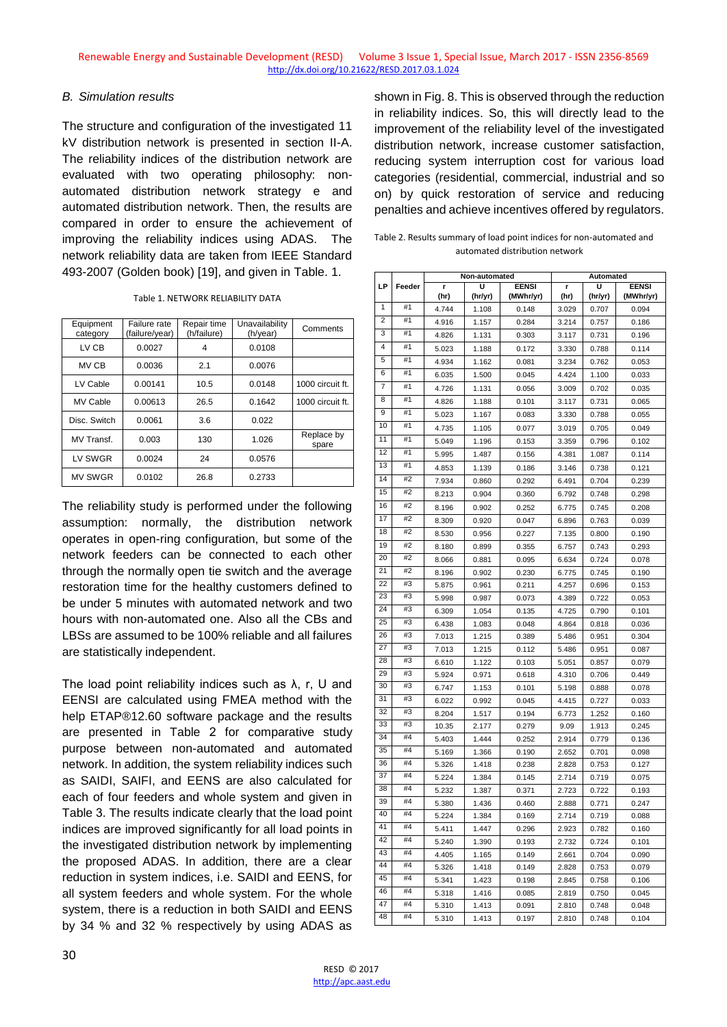## *B. Simulation results*

The structure and configuration of the investigated 11 kV distribution network is presented in section II-A. The reliability indices of the distribution network are evaluated with two operating philosophy: nonautomated distribution network strategy e and automated distribution network. Then, the results are compared in order to ensure the achievement of improving the reliability indices using ADAS. The network reliability data are taken from IEEE Standard 493-2007 (Golden book) [19], and given in Table. 1.

|  | Table 1. NETWORK RELIABILITY DATA |  |
|--|-----------------------------------|--|
|  |                                   |  |

| Equipment<br>category | Failure rate<br>(failure/year) | Repair time<br>(h/failure) | Unavailability<br>(h/year) | Comments            |
|-----------------------|--------------------------------|----------------------------|----------------------------|---------------------|
| LV CB                 | 0.0027                         | 4                          | 0.0108                     |                     |
| MV CB                 | 0.0036                         | 2.1                        | 0.0076                     |                     |
| LV Cable              | 0.00141                        | 10.5                       | 0.0148                     | 1000 circuit ft.    |
| <b>MV Cable</b>       | 0.00613                        | 26.5                       | 0.1642                     | 1000 circuit ft.    |
| Disc. Switch          | 0.0061                         | 3.6                        | 0.022                      |                     |
| MV Transf.            | 0.003                          | 130                        | 1.026                      | Replace by<br>spare |
| LV SWGR               | 0.0024                         | 24                         | 0.0576                     |                     |
| <b>MV SWGR</b>        | 0.0102                         | 26.8                       | 0.2733                     |                     |

The reliability study is performed under the following assumption: normally, the distribution network operates in open-ring configuration, but some of the network feeders can be connected to each other through the normally open tie switch and the average restoration time for the healthy customers defined to be under 5 minutes with automated network and two hours with non-automated one. Also all the CBs and LBSs are assumed to be 100% reliable and all failures are statistically independent.

The load point reliability indices such as  $\lambda$ , r, U and EENSI are calculated using FMEA method with the help ETAP®12.60 software package and the results are presented in Table 2 for comparative study purpose between non-automated and automated network. In addition, the system reliability indices such as SAIDI, SAIFI, and EENS are also calculated for each of four feeders and whole system and given in Table 3. The results indicate clearly that the load point indices are improved significantly for all load points in the investigated distribution network by implementing the proposed ADAS. In addition, there are a clear reduction in system indices, i.e. SAIDI and EENS, for all system feeders and whole system. For the whole system, there is a reduction in both SAIDI and EENS by 34 % and 32 % respectively by using ADAS as

shown in Fig. 8. This is observed through the reduction in reliability indices. So, this will directly lead to the improvement of the reliability level of the investigated distribution network, increase customer satisfaction, reducing system interruption cost for various load categories (residential, commercial, industrial and so on) by quick restoration of service and reducing penalties and achieve incentives offered by regulators.

Table 2. Results summary of load point indices for non-automated and automated distribution network

|    |        | Non-automated |         | Automated    |       |         |              |
|----|--------|---------------|---------|--------------|-------|---------|--------------|
| LP | Feeder | r             | U       | <b>EENSI</b> | r     | U       | <b>EENSI</b> |
|    |        | (hr)          | (hr/yr) | (MWhr/yr)    | (hr)  | (hr/yr) | (MWhr/yr)    |
| 1  | #1     | 4.744         | 1.108   | 0.148        | 3.029 | 0.707   | 0.094        |
| 2  | #1     | 4.916         | 1.157   | 0.284        | 3.214 | 0.757   | 0.186        |
| 3  | #1     | 4.826         | 1.131   | 0.303        | 3.117 | 0.731   | 0.196        |
| 4  | #1     | 5.023         | 1.188   | 0.172        | 3.330 | 0.788   | 0.114        |
| 5  | #1     | 4.934         | 1.162   | 0.081        | 3.234 | 0.762   | 0.053        |
| 6  | #1     | 6.035         | 1.500   | 0.045        | 4.424 | 1.100   | 0.033        |
| 7  | #1     | 4.726         | 1.131   | 0.056        | 3.009 | 0.702   | 0.035        |
| 8  | #1     | 4.826         | 1.188   | 0.101        | 3.117 | 0.731   | 0.065        |
| 9  | #1     | 5.023         | 1.167   | 0.083        | 3.330 | 0.788   | 0.055        |
| 10 | #1     | 4.735         | 1.105   | 0.077        | 3.019 | 0.705   | 0.049        |
| 11 | #1     | 5.049         | 1.196   | 0.153        | 3.359 | 0.796   | 0.102        |
| 12 | #1     | 5.995         | 1.487   | 0.156        | 4.381 | 1.087   | 0.114        |
| 13 | #1     | 4.853         | 1.139   | 0.186        | 3.146 | 0.738   | 0.121        |
| 14 | #2     | 7.934         | 0.860   | 0.292        | 6.491 | 0.704   | 0.239        |
| 15 | #2     | 8.213         | 0.904   | 0.360        | 6.792 | 0.748   | 0.298        |
| 16 | #2     | 8.196         | 0.902   | 0.252        | 6.775 | 0.745   | 0.208        |
| 17 | #2     | 8.309         | 0.920   | 0.047        | 6.896 | 0.763   | 0.039        |
| 18 | #2     | 8.530         | 0.956   | 0.227        | 7.135 | 0.800   | 0.190        |
| 19 | #2     | 8.180         | 0.899   | 0.355        | 6.757 | 0.743   | 0.293        |
| 20 | #2     | 8.066         | 0.881   | 0.095        | 6.634 | 0.724   | 0.078        |
| 21 | #2     | 8.196         | 0.902   | 0.230        | 6.775 | 0.745   | 0.190        |
| 22 | #3     | 5.875         | 0.961   | 0.211        | 4.257 | 0.696   | 0.153        |
| 23 | #3     | 5.998         | 0.987   | 0.073        | 4.389 | 0.722   | 0.053        |
| 24 | #3     | 6.309         | 1.054   | 0.135        | 4.725 | 0.790   | 0.101        |
| 25 | #3     | 6.438         | 1.083   | 0.048        | 4.864 | 0.818   | 0.036        |
| 26 | #3     | 7.013         | 1.215   | 0.389        | 5.486 | 0.951   | 0.304        |
| 27 | #3     | 7.013         | 1.215   | 0.112        | 5.486 | 0.951   | 0.087        |
| 28 | #3     | 6.610         | 1.122   | 0.103        | 5.051 | 0.857   | 0.079        |
| 29 | #3     | 5.924         | 0.971   | 0.618        | 4.310 | 0.706   | 0.449        |
| 30 | #3     | 6.747         | 1.153   | 0.101        | 5.198 | 0.888   | 0.078        |
| 31 | #3     | 6.022         | 0.992   | 0.045        | 4.415 | 0.727   | 0.033        |
| 32 | #3     | 8.204         | 1.517   | 0.194        | 6.773 | 1.252   | 0.160        |
| 33 | #3     | 10.35         | 2.177   | 0.279        | 9.09  | 1.913   | 0.245        |
| 34 | #4     | 5.403         | 1.444   | 0.252        | 2.914 | 0.779   | 0.136        |
| 35 | #4     | 5.169         | 1.366   | 0.190        | 2.652 | 0.701   | 0.098        |
| 36 | #4     | 5.326         | 1.418   | 0.238        | 2.828 | 0.753   | 0.127        |
| 37 | #4     | 5.224         | 1.384   | 0.145        | 2.714 | 0.719   | 0.075        |
| 38 | #4     | 5.232         | 1.387   | 0.371        | 2.723 | 0.722   | 0.193        |
| 39 | #4     | 5.380         | 1.436   | 0.460        | 2.888 | 0.771   | 0.247        |
| 40 | #4     | 5.224         | 1.384   | 0.169        | 2.714 | 0.719   | 0.088        |
| 41 | #4     | 5.411         | 1.447   | 0.296        | 2.923 | 0.782   | 0.160        |
| 42 | #4     | 5.240         | 1.390   | 0.193        | 2.732 | 0.724   | 0.101        |
| 43 | #4     | 4.405         | 1.165   | 0.149        | 2.661 | 0.704   | 0.090        |
| 44 | #4     | 5.326         | 1.418   | 0.149        | 2.828 | 0.753   | 0.079        |
| 45 | #4     | 5.341         | 1.423   | 0.198        | 2.845 | 0.758   | 0.106        |
| 46 | #4     | 5.318         | 1.416   | 0.085        | 2.819 | 0.750   | 0.045        |
| 47 | #4     | 5.310         | 1.413   | 0.091        | 2.810 | 0.748   | 0.048        |
| 48 | #4     | 5.310         | 1.413   | 0.197        | 2.810 | 0.748   | 0.104        |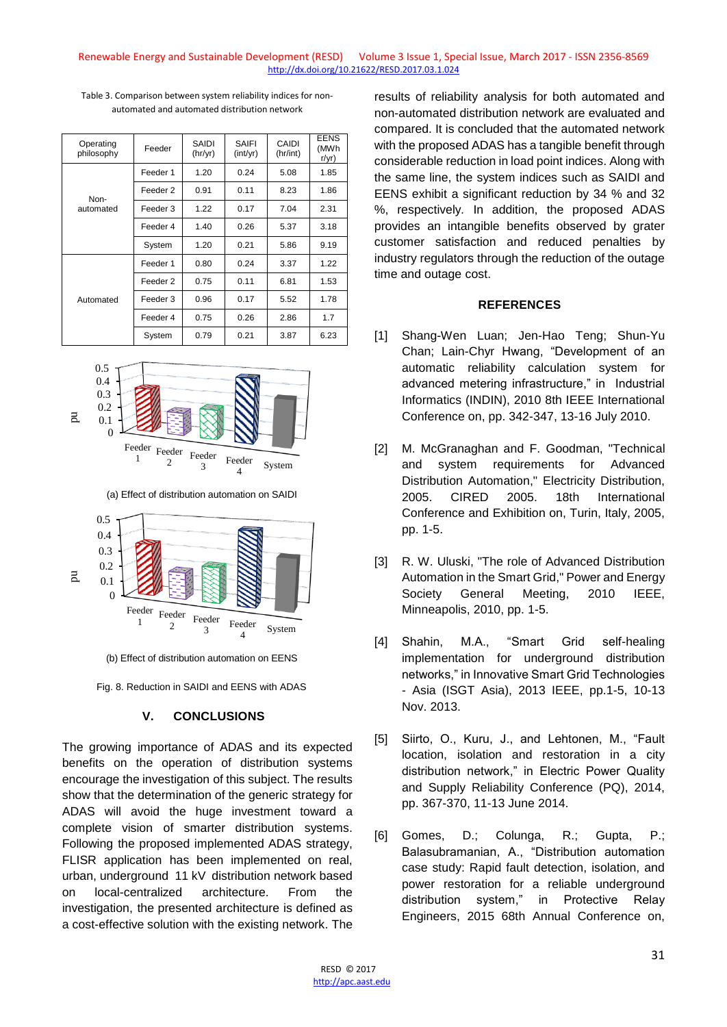| Operating<br>philosophy | Feeder   | SAIDI<br>(hr/yr) | SAIFI<br>(int/yr) | CAIDI<br>(hr/int) | EENS<br>(MWh<br>r/yr) |
|-------------------------|----------|------------------|-------------------|-------------------|-----------------------|
|                         | Feeder 1 | 1.20             | 0.24              | 5.08              | 1.85                  |
| Non-                    | Feeder 2 | 0.91             | 0.11              | 8.23              | 1.86                  |
| automated               | Feeder 3 | 1.22             | 0.17              | 7.04              | 2.31                  |
|                         | Feeder 4 | 1.40             | 0.26              | 5.37              | 3.18                  |
|                         | System   | 1.20             | 0.21              | 5.86              | 9.19                  |
|                         | Feeder 1 | 0.80             | 0.24              | 3.37              | 1.22                  |
|                         | Feeder 2 | 0.75             | 0.11              | 6.81              | 1.53                  |
| Automated               | Feeder 3 | 0.96             | 0.17              | 5.52              | 1.78                  |
|                         | Feeder 4 | 0.75             | 0.26              | 2.86              | 1.7                   |
|                         | System   | 0.79             | 0.21              | 3.87              | 6.23                  |

Table 3. Comparison between system reliability indices for nonautomated and automated distribution network



(a) Effect of distribution automation on SAIDI



(b) Effect of distribution automation on EENS

Fig. 8. Reduction in SAIDI and EENS with ADAS

### **V. CONCLUSIONS**

The growing importance of ADAS and its expected benefits on the operation of distribution systems encourage the investigation of this subject. The results show that the determination of the generic strategy for ADAS will avoid the huge investment toward a complete vision of smarter distribution systems. Following the proposed implemented ADAS strategy, FLISR application has been implemented on real, urban, underground 11 kV distribution network based on local-centralized architecture. From the investigation, the presented architecture is defined as a cost-effective solution with the existing network. The

results of reliability analysis for both automated and non-automated distribution network are evaluated and compared. It is concluded that the automated network with the proposed ADAS has a tangible benefit through considerable reduction in load point indices. Along with the same line, the system indices such as SAIDI and EENS exhibit a significant reduction by 34 % and 32 %, respectively. In addition, the proposed ADAS provides an intangible benefits observed by grater customer satisfaction and reduced penalties by industry regulators through the reduction of the outage time and outage cost.

#### **REFERENCES**

- [1] Shang-Wen Luan; Jen-Hao Teng; Shun-Yu Chan; Lain-Chyr Hwang, "Development of an automatic reliability calculation system for advanced metering infrastructure," in Industrial Informatics (INDIN), 2010 8th IEEE International Conference on, pp. 342-347, 13-16 July 2010.
- [2] M. McGranaghan and F. Goodman, "Technical and system requirements for Advanced Distribution Automation," Electricity Distribution, 2005. CIRED 2005. 18th International Conference and Exhibition on, Turin, Italy, 2005, pp. 1-5.
- [3] R. W. Uluski, "The role of Advanced Distribution Automation in the Smart Grid," Power and Energy Society General Meeting, 2010 IEEE, Minneapolis, 2010, pp. 1-5.
- [4] Shahin, M.A., "Smart Grid self-healing implementation for underground distribution networks," in Innovative Smart Grid Technologies - Asia (ISGT Asia), 2013 IEEE, pp.1-5, 10-13 Nov. 2013.
- [5] Siirto, O., Kuru, J., and Lehtonen, M., "Fault location, isolation and restoration in a city distribution network," in Electric Power Quality and Supply Reliability Conference (PQ), 2014, pp. 367-370, 11-13 June 2014.
- [6] Gomes, D.; Colunga, R.; Gupta, P.; Balasubramanian, A., "Distribution automation case study: Rapid fault detection, isolation, and power restoration for a reliable underground distribution system," in Protective Relay Engineers, 2015 68th Annual Conference on,